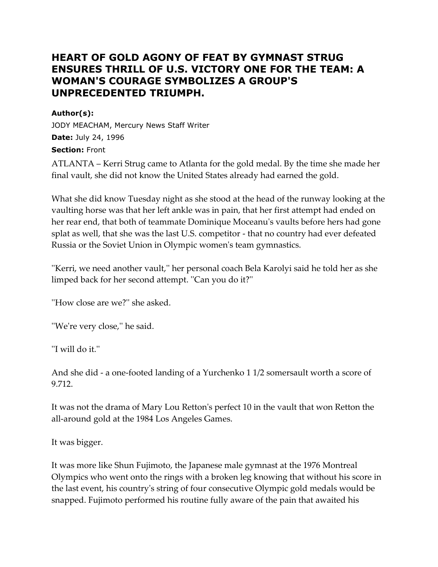# **HEART OF GOLD AGONY OF FEAT BY GYMNAST STRUG ENSURES THRILL OF U.S. VICTORY ONE FOR THE TEAM: A WOMAN'S COURAGE SYMBOLIZES A GROUP'S UNPRECEDENTED TRIUMPH.**

### **Author(s):**

JODY MEACHAM, Mercury News Staff Writer **Date:** July 24, 1996 **Section:** Front

ATLANTA – Kerri Strug came to Atlanta for the gold medal. By the time she made her final vault, she did not know the United States already had earned the gold.

What she did know Tuesday night as she stood at the head of the runway looking at the vaulting horse was that her left ankle was in pain, that her first attempt had ended on her rear end, that both of teammate Dominique Moceanu's vaults before hers had gone splat as well, that she was the last U.S. competitor - that no country had ever defeated Russia or the Soviet Union in Olympic women's team gymnastics.

''Kerri, we need another vault,'' her personal coach Bela Karolyi said he told her as she limped back for her second attempt. ''Can you do it?''

"How close are we?" she asked.

''We're very close,'' he said.

''I will do it.''

And she did - a one-footed landing of a Yurchenko 1 1/2 somersault worth a score of 9.712.

It was not the drama of Mary Lou Retton's perfect 10 in the vault that won Retton the all-around gold at the 1984 Los Angeles Games.

It was bigger.

It was more like Shun Fujimoto, the Japanese male gymnast at the 1976 Montreal Olympics who went onto the rings with a broken leg knowing that without his score in the last event, his country's string of four consecutive Olympic gold medals would be snapped. Fujimoto performed his routine fully aware of the pain that awaited his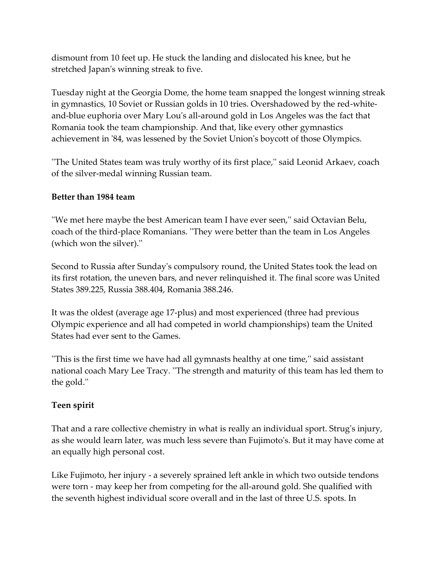dismount from 10 feet up. He stuck the landing and dislocated his knee, but he stretched Japan's winning streak to five.

Tuesday night at the Georgia Dome, the home team snapped the longest winning streak in gymnastics, 10 Soviet or Russian golds in 10 tries. Overshadowed by the red-whiteand-blue euphoria over Mary Lou's all-around gold in Los Angeles was the fact that Romania took the team championship. And that, like every other gymnastics achievement in '84, was lessened by the Soviet Union's boycott of those Olympics.

''The United States team was truly worthy of its first place,'' said Leonid Arkaev, coach of the silver-medal winning Russian team.

## **Better than 1984 team**

''We met here maybe the best American team I have ever seen,'' said Octavian Belu, coach of the third-place Romanians. ''They were better than the team in Los Angeles (which won the silver).''

Second to Russia after Sunday's compulsory round, the United States took the lead on its first rotation, the uneven bars, and never relinquished it. The final score was United States 389.225, Russia 388.404, Romania 388.246.

It was the oldest (average age 17-plus) and most experienced (three had previous Olympic experience and all had competed in world championships) team the United States had ever sent to the Games.

''This is the first time we have had all gymnasts healthy at one time,'' said assistant national coach Mary Lee Tracy. ''The strength and maturity of this team has led them to the gold.''

## **Teen spirit**

That and a rare collective chemistry in what is really an individual sport. Strug's injury, as she would learn later, was much less severe than Fujimoto's. But it may have come at an equally high personal cost.

Like Fujimoto, her injury - a severely sprained left ankle in which two outside tendons were torn - may keep her from competing for the all-around gold. She qualified with the seventh highest individual score overall and in the last of three U.S. spots. In